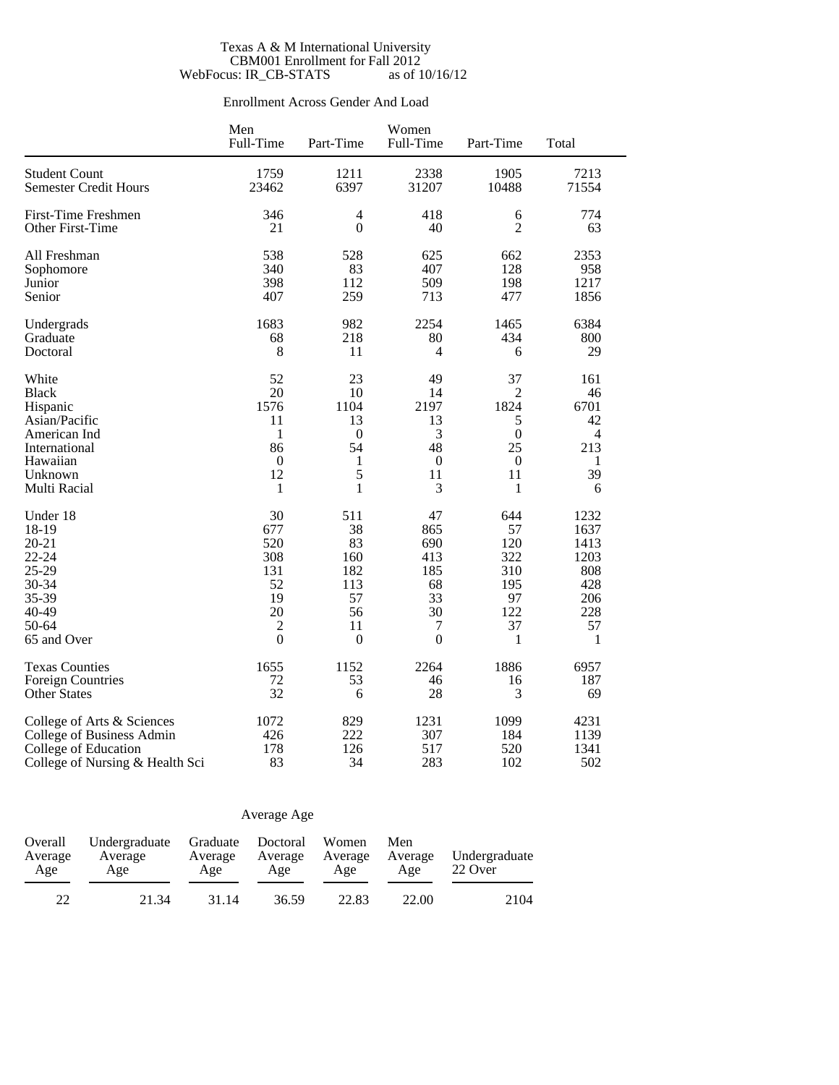### Texas A & M International University CBM001 Enrollment for Fall 2012 WebFocus: IR\_CB-STATS as of  $10/16/12$

## Enrollment Across Gender And Load

|                                 | Men<br>Full-Time | Part-Time        | Women<br>Full-Time | Part-Time        | Total          |
|---------------------------------|------------------|------------------|--------------------|------------------|----------------|
| <b>Student Count</b>            | 1759             | 1211             | 2338               | 1905             | 7213           |
| <b>Semester Credit Hours</b>    | 23462            | 6397             | 31207              | 10488            | 71554          |
| First-Time Freshmen             | 346              | 4                | 418                | 6                | 774            |
| Other First-Time                | 21               | $\mathbf{0}$     | 40                 | $\overline{2}$   | 63             |
| All Freshman                    | 538              | 528              | 625                | 662              | 2353           |
| Sophomore                       | 340              | 83               | 407                | 128              | 958            |
| Junior                          | 398              | 112              | 509                | 198              | 1217           |
| Senior                          | 407              | 259              | 713                | 477              | 1856           |
| Undergrads                      | 1683             | 982              | 2254               | 1465             | 6384           |
| Graduate                        | 68               | 218              | 80                 | 434              | 800            |
| Doctoral                        | 8                | 11               | 4                  | 6                | 29             |
| White                           | 52               | 23               | 49                 | 37               | 161            |
| <b>Black</b>                    | 20               | 10               | 14                 | $\overline{2}$   | 46             |
| Hispanic                        | 1576             | 1104             | 2197               | 1824             | 6701           |
| Asian/Pacific                   | 11               | 13               | 13                 | 5                | 42             |
| American Ind                    | 1                | $\boldsymbol{0}$ | 3                  | $\boldsymbol{0}$ | $\overline{4}$ |
| International                   | 86               | 54               | 48                 | 25               | 213            |
| Hawaiian                        | $\mathbf{0}$     | $\mathbf{1}$     | $\boldsymbol{0}$   | $\boldsymbol{0}$ | $\mathbf{1}$   |
| Unknown                         | 12               | 5                | 11                 | 11               | 39             |
| Multi Racial                    | 1                | 1                | 3                  | 1                | 6              |
| Under 18                        | 30               | 511              | 47                 | 644              | 1232           |
| 18-19                           | 677              | 38               | 865                | 57               | 1637           |
| $20 - 21$                       | 520              | 83               | 690                | 120              | 1413           |
| 22-24                           | 308              | 160              | 413                | 322              | 1203           |
| 25-29                           | 131              | 182              | 185                | 310              | 808            |
| 30-34                           | 52               | 113              | 68                 | 195              | 428            |
| 35-39                           | 19               | 57               | 33                 | 97               | 206            |
| 40-49                           | 20               | 56               | 30                 | 122              | 228            |
| 50-64                           | $\sqrt{2}$       | 11               | 7                  | 37               | 57             |
| 65 and Over                     | $\overline{0}$   | $\mathbf{0}$     | $\overline{0}$     | $\mathbf{1}$     | $\mathbf{1}$   |
| <b>Texas Counties</b>           | 1655             | 1152             | 2264               | 1886             | 6957           |
| <b>Foreign Countries</b>        | 72               | 53               | 46                 | 16               | 187            |
| <b>Other States</b>             | 32               | 6                | 28                 | 3                | 69             |
| College of Arts & Sciences      | 1072             | 829              | 1231               | 1099             | 4231           |
| College of Business Admin       | 426              | 222              | 307                | 184              | 1139           |
| College of Education            | 178              | 126              | 517                | 520              | 1341           |
| College of Nursing & Health Sci | 83               | 34               | 283                | 102              | 502            |

## Average Age

| Overall<br>Average<br>Age | Undergraduate<br>Average<br>Age | Graduate Doctoral<br>Average<br>Age | Average<br>Age | Women<br>Average<br>Age | Men<br>Average<br>Age | Undergraduate<br>22 Over |  |
|---------------------------|---------------------------------|-------------------------------------|----------------|-------------------------|-----------------------|--------------------------|--|
| 22                        | 21.34                           | 31.14                               | 36.59          | 22.83                   | 22.00                 | 2104                     |  |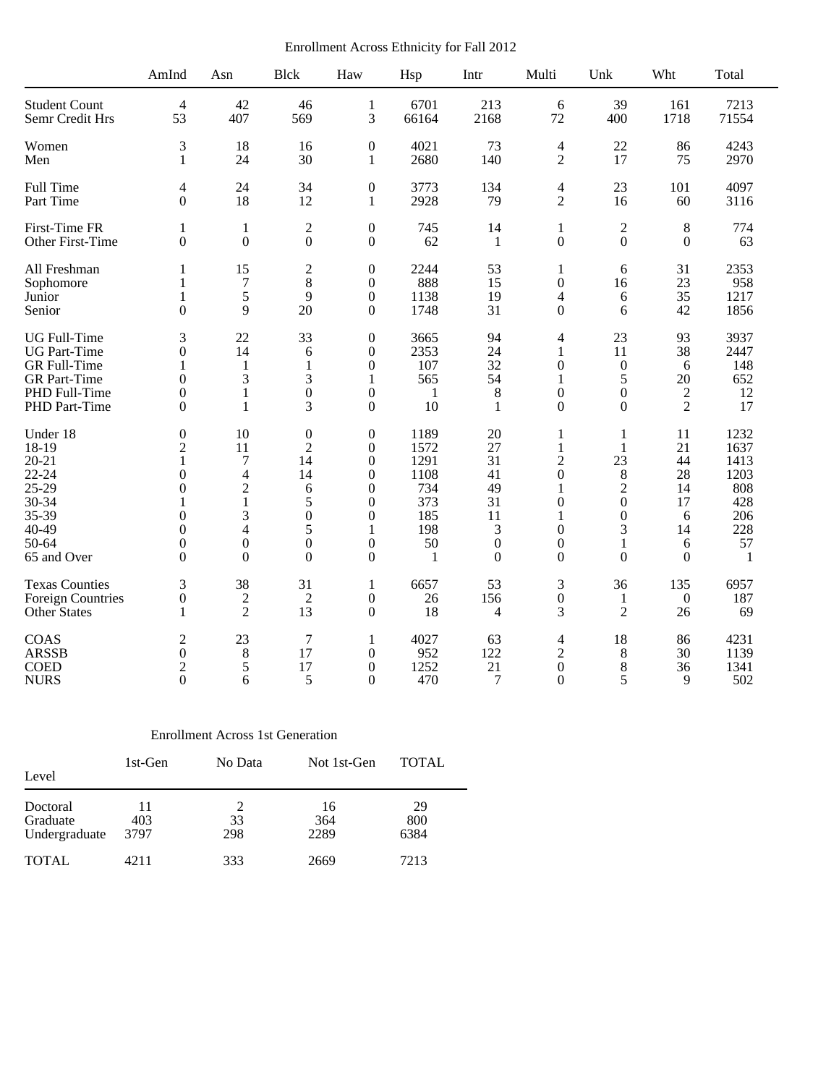Enrollment Across Ethnicity for Fall 2012

|                                                                                                         | AmInd                                                                                                   | Asn                                                                                                         | <b>Blck</b>                                                                                                 | Haw                                                                                                                                                       | Hsp                                                                            | Intr                                                                        | Multi                                                                                                                   | Unk                                                                                                       | Wht                                                          | Total                                                                |
|---------------------------------------------------------------------------------------------------------|---------------------------------------------------------------------------------------------------------|-------------------------------------------------------------------------------------------------------------|-------------------------------------------------------------------------------------------------------------|-----------------------------------------------------------------------------------------------------------------------------------------------------------|--------------------------------------------------------------------------------|-----------------------------------------------------------------------------|-------------------------------------------------------------------------------------------------------------------------|-----------------------------------------------------------------------------------------------------------|--------------------------------------------------------------|----------------------------------------------------------------------|
| <b>Student Count</b>                                                                                    | $\overline{4}$                                                                                          | 42                                                                                                          | 46                                                                                                          | $\mathbf{1}$                                                                                                                                              | 6701                                                                           | 213                                                                         | 6                                                                                                                       | 39                                                                                                        | 161                                                          | 7213                                                                 |
| Semr Credit Hrs                                                                                         | 53                                                                                                      | 407                                                                                                         | 569                                                                                                         | 3                                                                                                                                                         | 66164                                                                          | 2168                                                                        | 72                                                                                                                      | 400                                                                                                       | 1718                                                         | 71554                                                                |
| Women                                                                                                   | 3                                                                                                       | 18                                                                                                          | 16                                                                                                          | $\boldsymbol{0}$                                                                                                                                          | 4021                                                                           | 73                                                                          | $\overline{\mathcal{L}}$                                                                                                | 22                                                                                                        | 86                                                           | 4243                                                                 |
| Men                                                                                                     | 1                                                                                                       | 24                                                                                                          | 30                                                                                                          | 1                                                                                                                                                         | 2680                                                                           | 140                                                                         | $\overline{2}$                                                                                                          | 17                                                                                                        | 75                                                           | 2970                                                                 |
| Full Time                                                                                               | 4                                                                                                       | 24                                                                                                          | 34                                                                                                          | $\boldsymbol{0}$                                                                                                                                          | 3773                                                                           | 134                                                                         | 4                                                                                                                       | 23                                                                                                        | 101                                                          | 4097                                                                 |
| Part Time                                                                                               | $\mathbf{0}$                                                                                            | 18                                                                                                          | 12                                                                                                          | $\mathbf{1}$                                                                                                                                              | 2928                                                                           | 79                                                                          | $\overline{2}$                                                                                                          | 16                                                                                                        | 60                                                           | 3116                                                                 |
| First-Time FR                                                                                           | 1                                                                                                       | $\mathbf{1}$                                                                                                | $\overline{c}$                                                                                              | $\boldsymbol{0}$                                                                                                                                          | 745                                                                            | 14                                                                          | $\mathbf{1}$                                                                                                            | $\mathbf{2}$                                                                                              | 8                                                            | 774                                                                  |
| Other First-Time                                                                                        | $\theta$                                                                                                | $\overline{0}$                                                                                              | $\boldsymbol{0}$                                                                                            | $\overline{0}$                                                                                                                                            | 62                                                                             | 1                                                                           | $\mathbf{0}$                                                                                                            | $\overline{0}$                                                                                            | $\theta$                                                     | 63                                                                   |
| All Freshman                                                                                            | 1                                                                                                       | 15                                                                                                          | $\overline{c}$                                                                                              | $\theta$                                                                                                                                                  | 2244                                                                           | 53                                                                          | 1                                                                                                                       | 6                                                                                                         | 31                                                           | 2353                                                                 |
| Sophomore                                                                                               | 1                                                                                                       | $\boldsymbol{7}$                                                                                            | 8                                                                                                           | $\theta$                                                                                                                                                  | 888                                                                            | 15                                                                          | $\boldsymbol{0}$                                                                                                        | 16                                                                                                        | 23                                                           | 958                                                                  |
| Junior                                                                                                  | 1                                                                                                       | 5                                                                                                           | 9                                                                                                           | $\boldsymbol{0}$                                                                                                                                          | 1138                                                                           | 19                                                                          | 4                                                                                                                       | 6                                                                                                         | 35                                                           | 1217                                                                 |
| Senior                                                                                                  | $\theta$                                                                                                | 9                                                                                                           | 20                                                                                                          | $\boldsymbol{0}$                                                                                                                                          | 1748                                                                           | 31                                                                          | $\boldsymbol{0}$                                                                                                        | 6                                                                                                         | 42                                                           | 1856                                                                 |
| <b>UG</b> Full-Time                                                                                     | 3                                                                                                       | 22                                                                                                          | 33                                                                                                          | $\boldsymbol{0}$                                                                                                                                          | 3665                                                                           | 94                                                                          | 4                                                                                                                       | 23                                                                                                        | 93                                                           | 3937                                                                 |
| <b>UG</b> Part-Time                                                                                     | $\theta$                                                                                                | 14                                                                                                          | 6                                                                                                           | $\overline{0}$                                                                                                                                            | 2353                                                                           | 24                                                                          | 1                                                                                                                       | 11                                                                                                        | 38                                                           | 2447                                                                 |
| GR Full-Time                                                                                            | 1                                                                                                       | 1                                                                                                           | 1                                                                                                           | $\theta$                                                                                                                                                  | 107                                                                            | 32                                                                          | $\overline{0}$                                                                                                          | $\boldsymbol{0}$                                                                                          | 6                                                            | 148                                                                  |
| <b>GR</b> Part-Time                                                                                     | $\theta$                                                                                                | 3                                                                                                           | 3                                                                                                           | 1                                                                                                                                                         | 565                                                                            | 54                                                                          | 1                                                                                                                       | 5                                                                                                         | $20\,$                                                       | 652                                                                  |
| PHD Full-Time                                                                                           | $\theta$                                                                                                | 1                                                                                                           | $\overline{0}$                                                                                              | $\overline{0}$                                                                                                                                            | 1                                                                              | 8                                                                           | $\overline{0}$                                                                                                          | $\overline{0}$                                                                                            | $\overline{c}$                                               | 12                                                                   |
| PHD Part-Time                                                                                           | $\theta$                                                                                                | 1                                                                                                           | 3                                                                                                           | $\boldsymbol{0}$                                                                                                                                          | 10                                                                             | 1                                                                           | $\theta$                                                                                                                | $\Omega$                                                                                                  | $\overline{2}$                                               | 17                                                                   |
| Under 18<br>18-19<br>$20 - 21$<br>$22 - 24$<br>25-29<br>30-34<br>35-39<br>40-49<br>50-64<br>65 and Over | $\theta$<br>$\overline{2}$<br>1<br>$\theta$<br>$\theta$<br>$\theta$<br>$\theta$<br>$\theta$<br>$\theta$ | 10<br>11<br>$\boldsymbol{7}$<br>$\overline{4}$<br>$\overline{c}$<br>1<br>3<br>4<br>$\mathbf{0}$<br>$\theta$ | $\boldsymbol{0}$<br>$\overline{2}$<br>14<br>14<br>6<br>5<br>$\overline{0}$<br>5<br>$\mathbf{0}$<br>$\theta$ | $\boldsymbol{0}$<br>$\theta$<br>$\boldsymbol{0}$<br>$\Omega$<br>$\overline{0}$<br>$\overline{0}$<br>$\theta$<br>1<br>$\boldsymbol{0}$<br>$\boldsymbol{0}$ | 1189<br>1572<br>1291<br>1108<br>734<br>373<br>185<br>198<br>50<br>$\mathbf{1}$ | 20<br>27<br>31<br>41<br>49<br>31<br>11<br>3<br>$\boldsymbol{0}$<br>$\theta$ | 1<br>$\mathbf{1}$<br>$\overline{2}$<br>$\theta$<br>1<br>$\theta$<br>1<br>$\boldsymbol{0}$<br>$\overline{0}$<br>$\theta$ | 1<br>1<br>23<br>$\,$ 8 $\,$<br>$\overline{c}$<br>$\boldsymbol{0}$<br>$\overline{0}$<br>3<br>1<br>$\theta$ | 11<br>21<br>44<br>28<br>14<br>17<br>6<br>14<br>6<br>$\theta$ | 1232<br>1637<br>1413<br>1203<br>808<br>428<br>206<br>228<br>57<br>-1 |
| <b>Texas Counties</b>                                                                                   | 3                                                                                                       | 38                                                                                                          | 31                                                                                                          | 1                                                                                                                                                         | 6657                                                                           | 53                                                                          | 3                                                                                                                       | 36                                                                                                        | 135                                                          | 6957                                                                 |
| <b>Foreign Countries</b>                                                                                | $\boldsymbol{0}$                                                                                        | $\sqrt{2}$                                                                                                  | $\overline{c}$                                                                                              | $\boldsymbol{0}$                                                                                                                                          | 26                                                                             | 156                                                                         | $\boldsymbol{0}$                                                                                                        | $\mathbf{1}$                                                                                              | $\boldsymbol{0}$                                             | 187                                                                  |
| Other States                                                                                            | 1                                                                                                       | $\overline{2}$                                                                                              | 13                                                                                                          | $\boldsymbol{0}$                                                                                                                                          | 18                                                                             | 4                                                                           | 3                                                                                                                       | $\overline{2}$                                                                                            | 26                                                           | 69                                                                   |
| COAS                                                                                                    | $\overline{c}$                                                                                          | 23                                                                                                          | $\boldsymbol{7}$                                                                                            | 1                                                                                                                                                         | 4027                                                                           | 63                                                                          | 4                                                                                                                       | 18                                                                                                        | 86                                                           | 4231                                                                 |
| <b>ARSSB</b>                                                                                            | $\theta$                                                                                                | 8                                                                                                           | 17                                                                                                          | $\boldsymbol{0}$                                                                                                                                          | 952                                                                            | 122                                                                         | $\overline{2}$                                                                                                          | 8                                                                                                         | 30                                                           | 1139                                                                 |
| <b>COED</b>                                                                                             | $\overline{2}$                                                                                          | 5                                                                                                           | 17                                                                                                          | $\overline{0}$                                                                                                                                            | 1252                                                                           | 21                                                                          | $\mathbf{0}$                                                                                                            | 8                                                                                                         | 36                                                           | 1341                                                                 |
| <b>NURS</b>                                                                                             | $\Omega$                                                                                                | 6                                                                                                           | 5                                                                                                           | $\theta$                                                                                                                                                  | 470                                                                            | 7                                                                           | $\Omega$                                                                                                                | 5                                                                                                         | 9                                                            | 502                                                                  |

## Enrollment Across 1st Generation

| Level                                 | 1st-Gen           | No Data   | Not 1st-Gen       | <b>TOTAL</b>      |
|---------------------------------------|-------------------|-----------|-------------------|-------------------|
| Doctoral<br>Graduate<br>Undergraduate | 11<br>403<br>3797 | 33<br>298 | 16<br>364<br>2289 | 29<br>800<br>6384 |
| <b>TOTAL</b>                          | 4211              | 333       | 2669              | 7213              |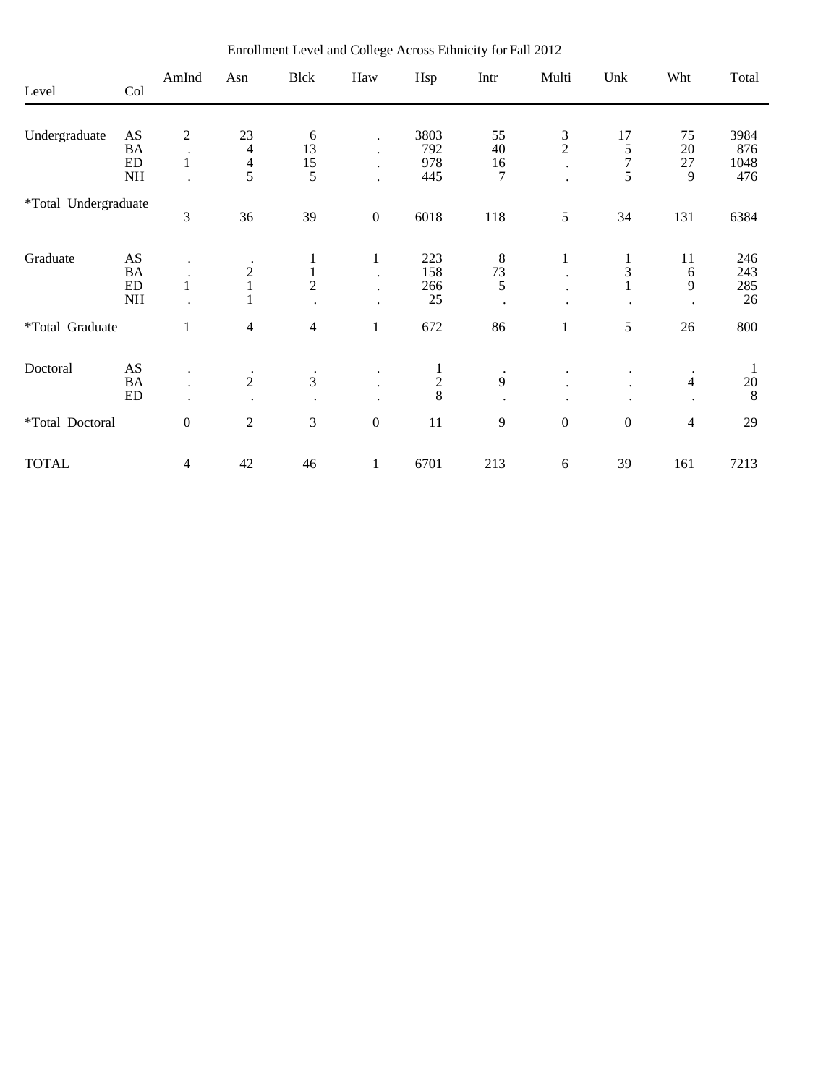|                      |                | AmInd                | Asn            | <b>Blck</b>    | Haw              | Hsp           | Intr      | Multi            | Unk              | Wht            | Total       |
|----------------------|----------------|----------------------|----------------|----------------|------------------|---------------|-----------|------------------|------------------|----------------|-------------|
| Level                | Col            |                      |                |                |                  |               |           |                  |                  |                |             |
|                      |                |                      |                |                |                  |               |           |                  |                  |                |             |
| Undergraduate        | AS<br>$\rm BA$ | $\boldsymbol{2}$     | 23             | 6<br>13        |                  | 3803<br>792   | 55<br>40  | $\frac{3}{2}$    | 17               | 75<br>20       | 3984        |
|                      | ${\rm ED}$     | $\bullet$<br>$\,1$   | $\overline{4}$ |                |                  | 978           | 16        |                  | $\frac{5}{7}$    | 27             | 876<br>1048 |
|                      | $\rm{NH}$      |                      | $\frac{4}{5}$  | $\frac{15}{5}$ | $\bullet$        | 445           | 7         | $\bullet$        | 5                | 9              | 476         |
|                      |                |                      |                |                |                  |               |           |                  |                  |                |             |
| *Total Undergraduate |                |                      |                |                |                  |               |           |                  |                  |                |             |
|                      |                | 3                    | 36             | 39             | $\boldsymbol{0}$ | 6018          | 118       | 5                | 34               | 131            | 6384        |
|                      |                |                      |                |                |                  |               |           |                  |                  |                |             |
| Graduate             | AS             |                      |                | 1              | $\mathbf{1}$     | 223           | 8         | $\mathbf{1}$     | 1                | 11             | 246         |
|                      | BA             |                      |                | $\,1$          |                  | 158           | 73        | $\bullet$        | 3                | 6              | 243         |
|                      | ${\rm ED}$     | $\mathbf{1}$         | $\frac{2}{1}$  | $\overline{2}$ |                  | 266           | 5         |                  | $\perp$          | 9              | 285         |
|                      | NH             |                      |                |                |                  | 25            |           |                  |                  |                | 26          |
|                      |                |                      |                |                |                  |               |           |                  |                  |                |             |
| *Total Graduate      |                | $\mathbf{1}$         | $\overline{4}$ | $\overline{4}$ | $\mathbf{1}$     | 672           | 86        | $\mathbf{1}$     | 5                | 26             | 800         |
|                      |                |                      |                |                |                  |               |           |                  |                  |                |             |
| Doctoral             | AS             | ٠                    | $\bullet$      | $\bullet$      |                  |               | $\bullet$ |                  |                  | $\bullet$      | $\perp$     |
|                      | <b>BA</b>      | $\ddot{\phantom{a}}$ | $\overline{2}$ | 3              |                  | $\frac{1}{2}$ | 9         |                  |                  | $\overline{4}$ | $20\,$      |
|                      | ${\rm ED}$     | $\ddot{\phantom{0}}$ |                | $\cdot$        |                  |               |           |                  |                  |                | 8           |
| *Total Doctoral      |                | $\boldsymbol{0}$     | $\sqrt{2}$     | 3              | $\boldsymbol{0}$ | 11            | 9         | $\boldsymbol{0}$ | $\boldsymbol{0}$ | $\overline{4}$ | 29          |
|                      |                |                      |                |                |                  |               |           |                  |                  |                |             |
| <b>TOTAL</b>         |                | 4                    | 42             | 46             | $\mathbf{1}$     | 6701          | 213       | 6                | 39               | 161            | 7213        |

Enrollment Level and College Across Ethnicity for Fall 2012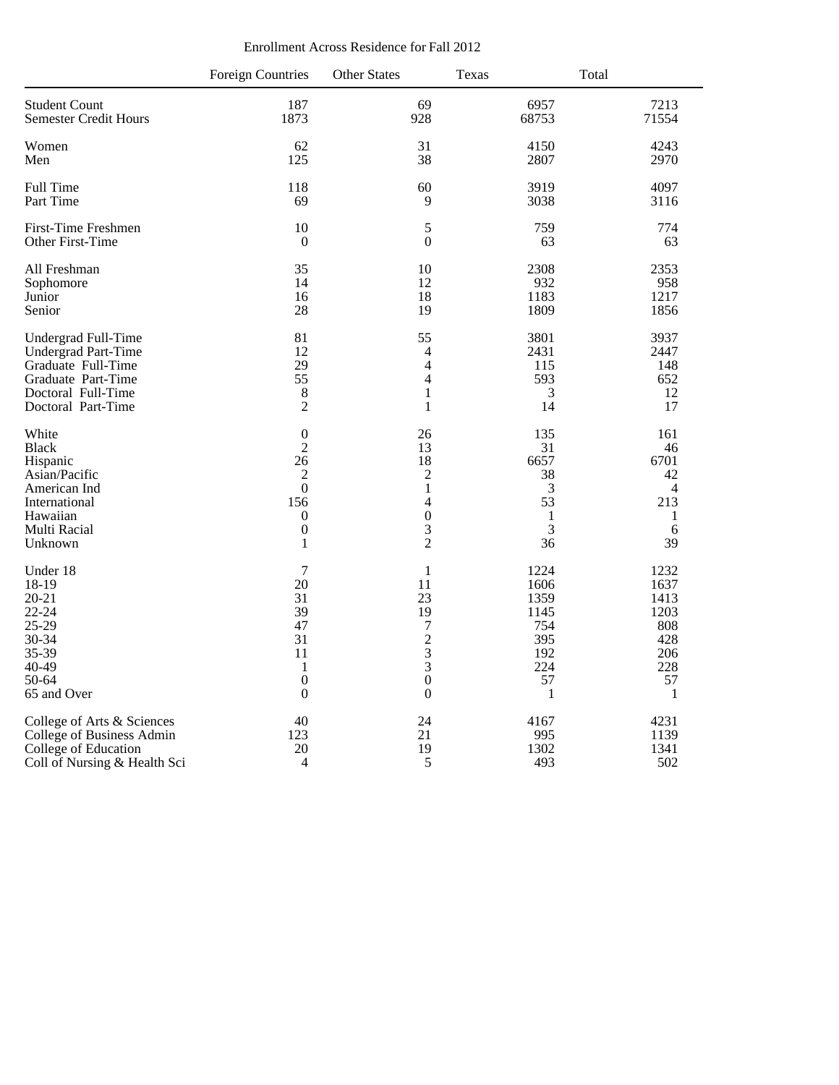|                                                                                                         | <b>Foreign Countries</b>                                                                      | <b>Other States</b>                                                                                                           | Texas                                                               | Total                                                               |
|---------------------------------------------------------------------------------------------------------|-----------------------------------------------------------------------------------------------|-------------------------------------------------------------------------------------------------------------------------------|---------------------------------------------------------------------|---------------------------------------------------------------------|
| <b>Student Count</b>                                                                                    | 187                                                                                           | 69                                                                                                                            | 6957                                                                | 7213                                                                |
| <b>Semester Credit Hours</b>                                                                            | 1873                                                                                          | 928                                                                                                                           | 68753                                                               | 71554                                                               |
| Women                                                                                                   | 62                                                                                            | 31                                                                                                                            | 4150                                                                | 4243                                                                |
| Men                                                                                                     | 125                                                                                           | 38                                                                                                                            | 2807                                                                | 2970                                                                |
| Full Time                                                                                               | 118                                                                                           | 60                                                                                                                            | 3919                                                                | 4097                                                                |
| Part Time                                                                                               | 69                                                                                            | 9                                                                                                                             | 3038                                                                | 3116                                                                |
| First-Time Freshmen                                                                                     | 10                                                                                            | 5                                                                                                                             | 759                                                                 | 774                                                                 |
| Other First-Time                                                                                        | $\mathbf{0}$                                                                                  | $\mathbf{0}$                                                                                                                  | 63                                                                  | 63                                                                  |
| All Freshman                                                                                            | 35                                                                                            | 10                                                                                                                            | 2308                                                                | 2353                                                                |
| Sophomore                                                                                               | 14                                                                                            | 12                                                                                                                            | 932                                                                 | 958                                                                 |
| Junior                                                                                                  | 16                                                                                            | 18                                                                                                                            | 1183                                                                | 1217                                                                |
| Senior                                                                                                  | 28                                                                                            | 19                                                                                                                            | 1809                                                                | 1856                                                                |
| Undergrad Full-Time                                                                                     | 81                                                                                            | 55                                                                                                                            | 3801                                                                | 3937                                                                |
| Undergrad Part-Time                                                                                     | 12                                                                                            | $\overline{4}$                                                                                                                | 2431                                                                | 2447                                                                |
| Graduate Full-Time                                                                                      | 29                                                                                            | $\overline{\mathbf{4}}$                                                                                                       | 115                                                                 | 148                                                                 |
| Graduate Part-Time                                                                                      | 55                                                                                            | $\overline{4}$                                                                                                                | 593                                                                 | 652                                                                 |
| Doctoral Full-Time                                                                                      | 8                                                                                             | $\mathbf{1}$                                                                                                                  | 3                                                                   | 12                                                                  |
| Doctoral Part-Time                                                                                      | $\overline{2}$                                                                                | $\mathbf{1}$                                                                                                                  | 14                                                                  | 17                                                                  |
| White                                                                                                   | $\boldsymbol{0}$                                                                              | 26                                                                                                                            | 135                                                                 | 161                                                                 |
| <b>Black</b>                                                                                            | $\overline{c}$                                                                                | 13                                                                                                                            | 31                                                                  | 46                                                                  |
| Hispanic                                                                                                | 26                                                                                            | 18                                                                                                                            | 6657                                                                | 6701                                                                |
| Asian/Pacific                                                                                           | $\overline{c}$                                                                                | $\sqrt{2}$                                                                                                                    | 38                                                                  | 42                                                                  |
| American Ind                                                                                            | $\overline{0}$                                                                                | $\mathbf{1}$                                                                                                                  | 3                                                                   | $\overline{4}$                                                      |
| International                                                                                           | 156                                                                                           | $\overline{4}$                                                                                                                | 53                                                                  | 213                                                                 |
| Hawaiian                                                                                                | $\boldsymbol{0}$                                                                              | $\boldsymbol{0}$                                                                                                              | $\mathbf{1}$                                                        | 1                                                                   |
| Multi Racial                                                                                            | $\boldsymbol{0}$                                                                              | 3                                                                                                                             | 3                                                                   | 6                                                                   |
| Unknown                                                                                                 | $\mathbf{1}$                                                                                  | $\overline{2}$                                                                                                                | 36                                                                  | 39                                                                  |
| Under 18<br>18-19<br>$20 - 21$<br>$22 - 24$<br>25-29<br>30-34<br>35-39<br>40-49<br>50-64<br>65 and Over | 7<br>20<br>31<br>39<br>47<br>31<br>11<br>$\mathbf{1}$<br>$\boldsymbol{0}$<br>$\boldsymbol{0}$ | 1<br>11<br>23<br>19<br>$\boldsymbol{7}$<br>$\begin{array}{c} 2 \\ 3 \\ 3 \end{array}$<br>$\boldsymbol{0}$<br>$\boldsymbol{0}$ | 1224<br>1606<br>1359<br>1145<br>754<br>395<br>192<br>224<br>57<br>1 | 1232<br>1637<br>1413<br>1203<br>808<br>428<br>206<br>228<br>57<br>1 |
| College of Arts & Sciences                                                                              | 40                                                                                            | 24                                                                                                                            | 4167                                                                | 4231                                                                |
| College of Business Admin                                                                               | 123                                                                                           | 21                                                                                                                            | 995                                                                 | 1139                                                                |
| College of Education                                                                                    | 20                                                                                            | 19                                                                                                                            | 1302                                                                | 1341                                                                |
| Coll of Nursing & Health Sci                                                                            | 4                                                                                             | 5                                                                                                                             | 493                                                                 | 502                                                                 |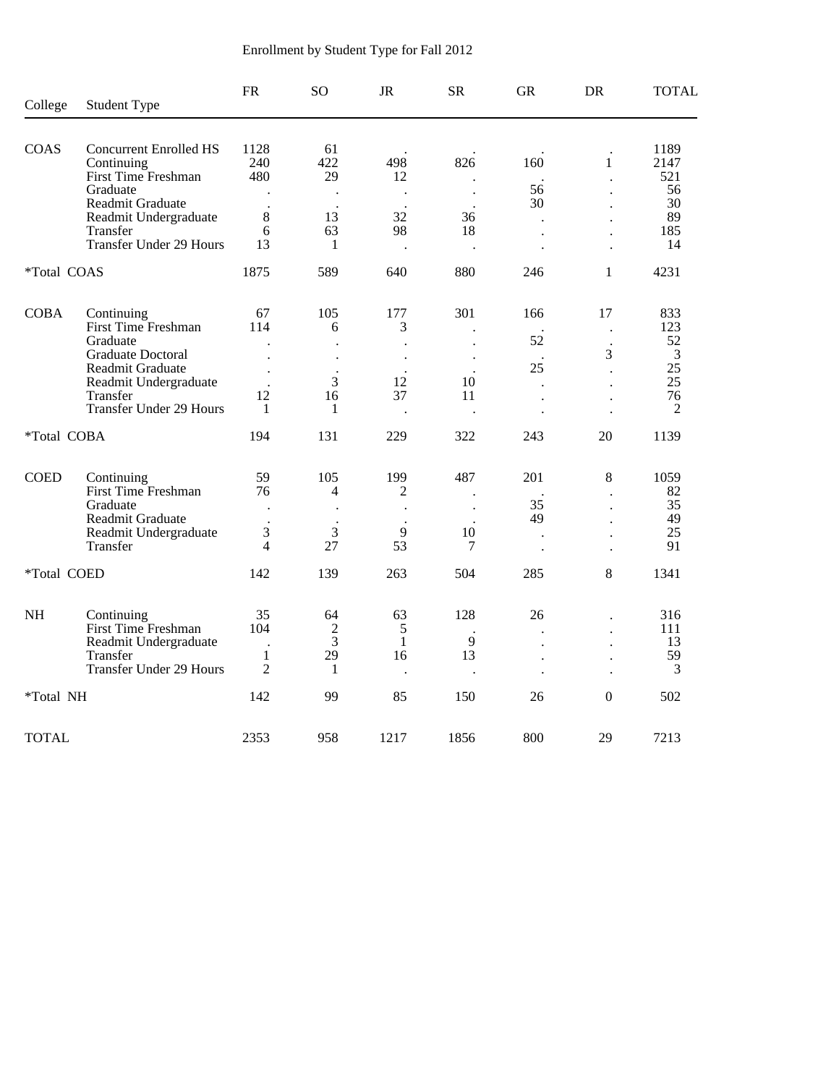| College          | <b>Student Type</b>                                                | <b>FR</b>                                    | SO.                  | <b>JR</b>                  | <b>SR</b>                         | <b>GR</b>                                    | DR                                     | <b>TOTAL</b>                |
|------------------|--------------------------------------------------------------------|----------------------------------------------|----------------------|----------------------------|-----------------------------------|----------------------------------------------|----------------------------------------|-----------------------------|
|                  |                                                                    |                                              |                      |                            |                                   |                                              |                                        |                             |
| COAS             | <b>Concurrent Enrolled HS</b><br>Continuing<br>First Time Freshman | 1128<br>240<br>480                           | 61<br>422<br>29      | 498<br>12                  | 826                               | 160                                          | $\mathbf{1}$                           | 1189<br>2147<br>521         |
|                  | Graduate<br>Readmit Graduate                                       | $\ddot{\phantom{a}}$                         | $\ddot{\phantom{0}}$ | $\ddot{\phantom{a}}$       | $\bullet$<br>$\ddot{\phantom{a}}$ | 56<br>30                                     |                                        | 56<br>30                    |
|                  | Readmit Undergraduate<br>Transfer                                  | 8<br>6                                       | 13<br>63             | 32<br>98                   | 36<br>18                          | $\ddot{\phantom{a}}$<br>$\ddot{\phantom{0}}$ |                                        | 89<br>185                   |
|                  | <b>Transfer Under 29 Hours</b>                                     | 13                                           | 1                    | $\cdot$                    | $\bullet$                         | $\ddot{\phantom{0}}$                         | $\ddot{\phantom{0}}$                   | 14                          |
| *Total COAS      |                                                                    | 1875                                         | 589                  | 640                        | 880                               | 246                                          | $\mathbf{1}$                           | 4231                        |
| <b>COBA</b>      | Continuing                                                         | 67                                           | 105                  | 177                        | 301                               | 166                                          | 17                                     | 833                         |
|                  | First Time Freshman<br>Graduate<br>Graduate Doctoral               | 114<br>$\ddot{\phantom{0}}$                  | 6                    | 3<br>$\ddot{\phantom{a}}$  |                                   | 52                                           | $\ddot{\phantom{0}}$<br>$\bullet$<br>3 | 123<br>52<br>$\overline{3}$ |
|                  | Readmit Graduate<br>Readmit Undergraduate                          | $\ddot{\phantom{0}}$<br>$\ddot{\phantom{a}}$ | 3                    | $\cdot$<br>12              | 10                                | 25<br>$\ddot{\phantom{a}}$                   |                                        | 25<br>25                    |
|                  | Transfer<br><b>Transfer Under 29 Hours</b>                         | 12<br>1                                      | 16<br>1              | 37<br>$\ddot{\phantom{a}}$ | 11                                | $\overline{a}$<br>$\ddot{\phantom{a}}$       | $\overline{a}$                         | 76<br>$\overline{2}$        |
| *Total COBA      |                                                                    | 194                                          | 131                  | 229                        | 322                               | 243                                          | 20                                     | 1139                        |
| <b>COED</b>      | Continuing                                                         | 59                                           | 105                  | 199                        | 487                               | 201                                          | 8                                      | 1059                        |
|                  | First Time Freshman<br>Graduate                                    | 76                                           | 4                    | 2<br>$\ddot{\phantom{a}}$  | $\ddot{\phantom{0}}$              | 35                                           | $\ddot{\phantom{a}}$                   | 82<br>35                    |
|                  | Readmit Graduate<br>Readmit Undergraduate<br>Transfer              | 3<br>$\overline{\mathcal{L}}$                | 3<br>27              | 9<br>53                    | 10<br>7                           | 49<br>$\ddot{\phantom{0}}$                   |                                        | 49<br>25<br>91              |
| *Total COED      |                                                                    | 142                                          | 139                  | 263                        | 504                               | $\ddot{\phantom{a}}$<br>285                  | $\ddot{\phantom{a}}$<br>8              | 1341                        |
|                  |                                                                    |                                              |                      |                            |                                   |                                              |                                        |                             |
| $\rm NH$         | Continuing<br>First Time Freshman                                  | 35<br>104                                    | 64<br>$\overline{c}$ | 63<br>5                    | 128                               | 26<br>$\bullet$                              | $\ddot{\phantom{a}}$                   | 316<br>111                  |
|                  | Readmit Undergraduate<br>Transfer                                  | $\ddot{\phantom{a}}$<br>$\mathbf{1}$         | 3<br>29              | $\mathbf{1}$<br>16         | 9<br>13                           | $\ddot{\phantom{a}}$<br>$\ddot{\phantom{0}}$ | $\ddot{\phantom{0}}$                   | 13<br>59                    |
|                  | <b>Transfer Under 29 Hours</b>                                     | $\overline{2}$                               | 1                    | $\cdot$                    | $\ddot{\phantom{a}}$              | $\bullet$                                    | $\cdot$                                | 3                           |
| <i>*Total NH</i> |                                                                    | 142                                          | 99                   | 85                         | 150                               | 26                                           | $\boldsymbol{0}$                       | 502                         |
| <b>TOTAL</b>     |                                                                    | 2353                                         | 958                  | 1217                       | 1856                              | 800                                          | 29                                     | 7213                        |

# Enrollment by Student Type for Fall 2012